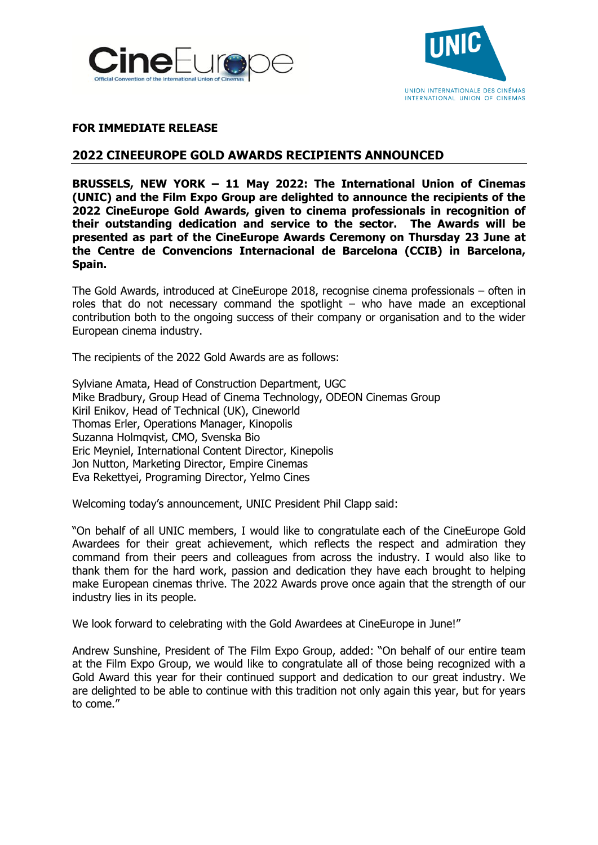



## **FOR IMMEDIATE RELEASE**

# **2022 CINEEUROPE GOLD AWARDS RECIPIENTS ANNOUNCED**

**BRUSSELS, NEW YORK – 11 May 2022: The International Union of Cinemas (UNIC) and the Film Expo Group are delighted to announce the recipients of the 2022 CineEurope Gold Awards, given to cinema professionals in recognition of their outstanding dedication and service to the sector. The Awards will be presented as part of the CineEurope Awards Ceremony on Thursday 23 June at the Centre de Convencions Internacional de Barcelona (CCIB) in Barcelona, Spain.**

The Gold Awards, introduced at CineEurope 2018, recognise cinema professionals – often in roles that do not necessary command the spotlight – who have made an exceptional contribution both to the ongoing success of their company or organisation and to the wider European cinema industry.

The recipients of the 2022 Gold Awards are as follows:

Sylviane Amata, Head of Construction Department, UGC Mike Bradbury, Group Head of Cinema Technology, ODEON Cinemas Group Kiril Enikov, Head of Technical (UK), Cineworld Thomas Erler, Operations Manager, Kinopolis Suzanna Holmqvist, CMO, Svenska Bio Eric Meyniel, International Content Director, Kinepolis Jon Nutton, Marketing Director, Empire Cinemas Eva Rekettyei, Programing Director, Yelmo Cines

Welcoming today's announcement, UNIC President Phil Clapp said:

"On behalf of all UNIC members, I would like to congratulate each of the CineEurope Gold Awardees for their great achievement, which reflects the respect and admiration they command from their peers and colleagues from across the industry. I would also like to thank them for the hard work, passion and dedication they have each brought to helping make European cinemas thrive. The 2022 Awards prove once again that the strength of our industry lies in its people.

We look forward to celebrating with the Gold Awardees at CineEurope in June!"

Andrew Sunshine, President of The Film Expo Group, added: "On behalf of our entire team at the Film Expo Group, we would like to congratulate all of those being recognized with a Gold Award this year for their continued support and dedication to our great industry. We are delighted to be able to continue with this tradition not only again this year, but for years to come."